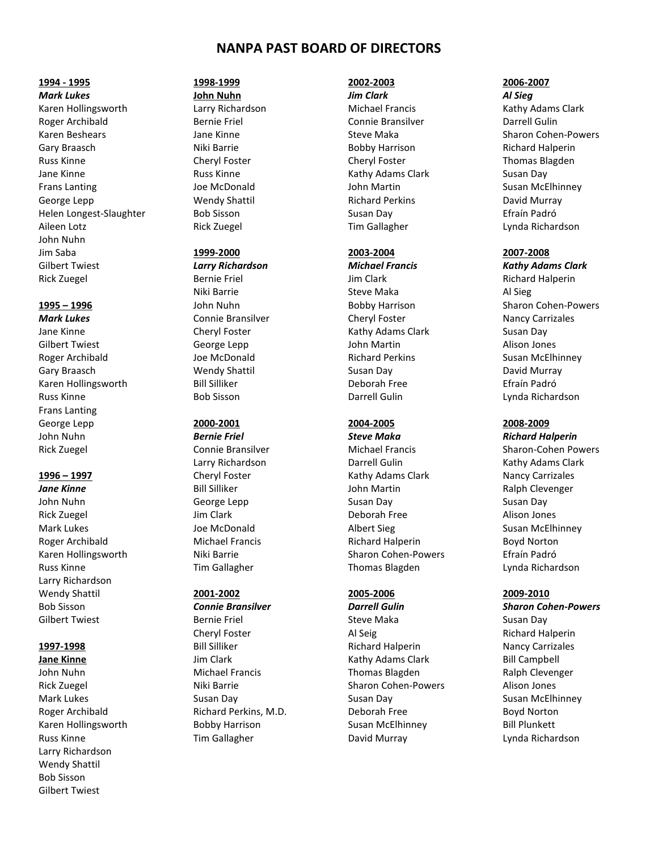# **NANPA PAST BOARD OF DIRECTORS**

## **1994 - 1995**

*Mark Lukes* Karen Hollingsworth Roger Archibald Karen Beshears Gary Braasch Russ Kinne Jane Kinne Frans Lanting George Lepp Helen Longest-Slaughter Aileen Lotz John Nuhn Jim Saba Gilbert Twiest Rick Zuegel

## **1995 – 1996**

*Mark Lukes* Jane Kinne Gilbert Twiest Roger Archibald Gary Braasch Karen Hollingsworth Russ Kinne Frans Lanting George Lepp John Nuhn Rick Zuegel

## **1996 – 1997**

*Jane Kinne* John Nuhn Rick Zuegel Mark Lukes Roger Archibald Karen Hollingsworth Russ Kinne Larry Richardson Wendy Shattil Bob Sisson Gilbert Twiest

#### **1997-1998**

**Jane Kinne** John Nuhn Rick Zuegel Mark Lukes Roger Archibald Karen Hollingsworth Russ Kinne Larry Richardson Wendy Shattil Bob Sisson Gilbert Twiest

# **1998-1999**

**John Nuhn** Larry Richardson Bernie Friel Jane Kinne Niki Barrie Cheryl Foster Russ Kinne Joe McDonald Wendy Shattil Bob Sisson Rick Zuegel

#### **1999-2000**

*Larry Richardson* Bernie Friel Niki Barrie John Nuhn Connie Bransilver Cheryl Foster George Lepp Joe McDonald Wendy Shattil Bill Silliker Bob Sisson

# **2000-2001**

*Bernie Friel* Connie Bransilver Larry Richardson Cheryl Foster Bill Silliker George Lepp Jim Clark Joe McDonald Michael Francis Niki Barrie Tim Gallagher

### **2001-2002**

*Connie Bransilver* Bernie Friel Cheryl Foster Bill Silliker Jim Clark Michael Francis Niki Barrie Susan Day Richard Perkins, M.D. Bobby Harrison Tim Gallagher

#### **2002-2003**

*Jim Clark*

Michael Francis Connie Bransilver Steve Maka Bobby Harrison Cheryl Foster Kathy Adams Clark John Martin Richard Perkins Susan Day Tim Gallagher

# **2003-2004**

*Michael Francis* Jim Clark Steve Maka Bobby Harrison Cheryl Foster Kathy Adams Clark John Martin Richard Perkins Susan Day Deborah Free Darrell Gulin

# **2004-2005**

*Steve Maka*  Michael Francis Darrell Gulin Kathy Adams Clark John Martin Susan Day Deborah Free Albert Sieg Richard Halperin Sharon Cohen-Powers Thomas Blagden

## **2005-2006**

*Darrell Gulin*  Steve Maka Al Seig Richard Halperin Kathy Adams Clark Thomas Blagden Sharon Cohen-Powers Susan Day Deborah Free Susan McElhinney David Murray

### **2006-2007**

*Al Sieg*  Kathy Adams Clark Darrell Gulin Sharon Cohen-Powers Richard Halperin Thomas Blagden Susan Day Susan McElhinney David Murray Efraín Padró Lynda Richardson

#### **2007-2008**

*Kathy Adams Clark*  Richard Halperin Al Sieg Sharon Cohen-Powers Nancy Carrizales Susan Day Alison Jones Susan McElhinney David Murray Efraín Padró Lynda Richardson

#### **2008-2009**

*Richard Halperin*  Sharon-Cohen Powers Kathy Adams Clark Nancy Carrizales Ralph Clevenger Susan Day Alison Jones Susan McElhinney Boyd Norton Efraín Padró Lynda Richardson

#### **2009-2010**

*Sharon Cohen-Powers*  Susan Day Richard Halperin Nancy Carrizales Bill Campbell Ralph Clevenger Alison Jones Susan McElhinney Boyd Norton Bill Plunkett Lynda Richardson